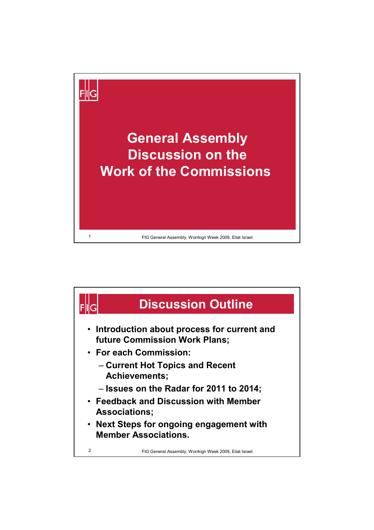

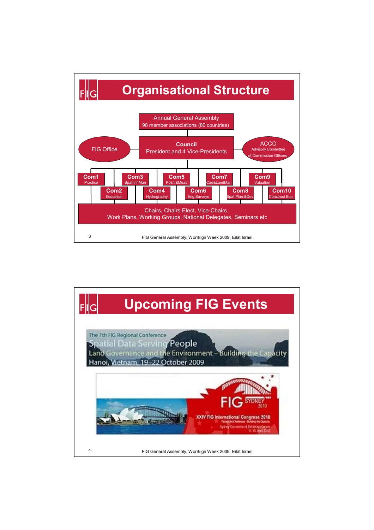

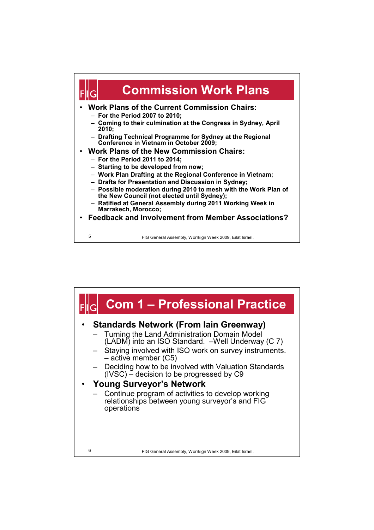

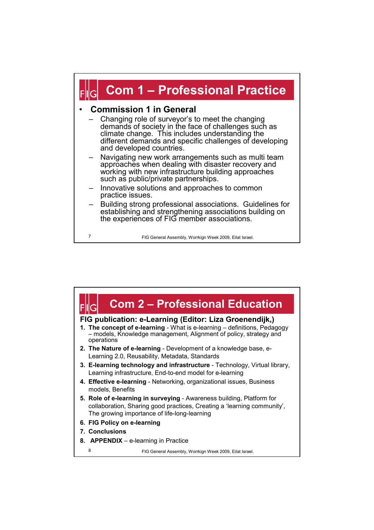

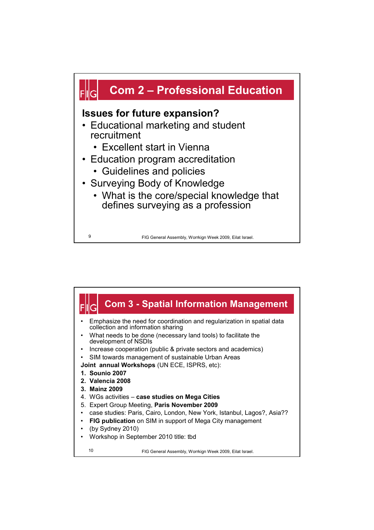

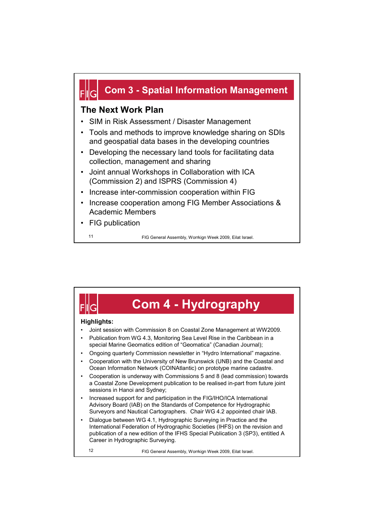## **Com 3 - Spatial Information Management**

## **The Next Work Plan**

- SIM in Risk Assessment / Disaster Management
- Tools and methods to improve knowledge sharing on SDIs and geospatial data bases in the developing countries
- Developing the necessary land tools for facilitating data collection, management and sharing
- Joint annual Workshops in Collaboration with ICA (Commission 2) and ISPRS (Commission 4)
- Increase inter-commission cooperation within FIG
- Increase cooperation among FIG Member Associations & Academic Members
- FIG publication

11 FIG General Assembly, Worrkign Week 2009, Eilat Israel.

## **Com 4 - Hydrography Highlights:** • Joint session with Commission 8 on Coastal Zone Management at WW2009. • Publication from WG 4.3, Monitoring Sea Level Rise in the Caribbean in a special Marine Geomatics edition of "Geomatica" (Canadian Journal); • Ongoing quarterly Commission newsletter in "Hydro International" magazine. • Cooperation with the University of New Brunswick (UNB) and the Coastal and Ocean Information Network (COINAtlantic) on prototype marine cadastre. • Cooperation is underway with Commissions 5 and 8 (lead commission) towards a Coastal Zone Development publication to be realised in-part from future joint sessions in Hanoi and Sydney; • Increased support for and participation in the FIG/IHO/ICA International Advisory Board (IAB) on the Standards of Competence for Hydrographic Surveyors and Nautical Cartographers. Chair WG 4.2 appointed chair IAB. • Dialogue between WG 4.1, Hydrographic Surveying in Practice and the International Federation of Hydrographic Societies (IHFS) on the revision and publication of a new edition of the IFHS Special Publication 3 (SP3), entitled A Career in Hydrographic Surveying. FIG General Assembly, Worrkign Week 2009, Eilat Israel. 12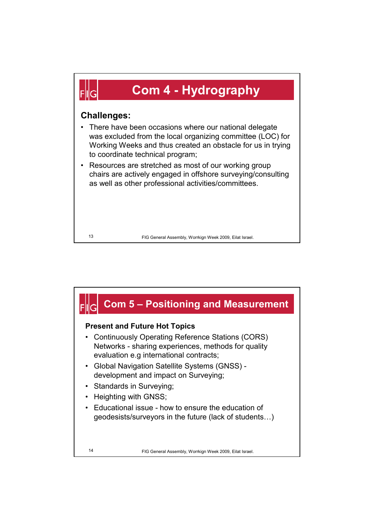

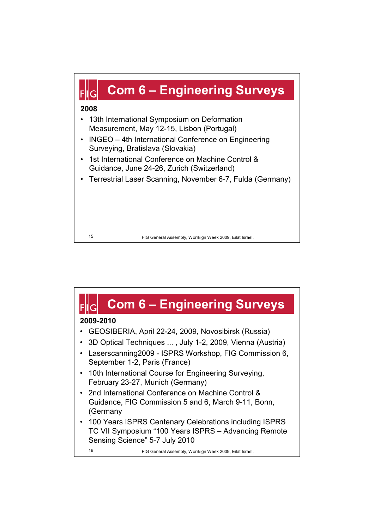

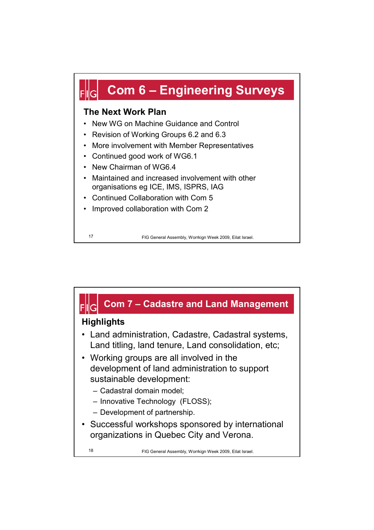

• Improved collaboration with Com 2

FIG General Assembly, Worrkign Week 2009, Eilat Israel. 17

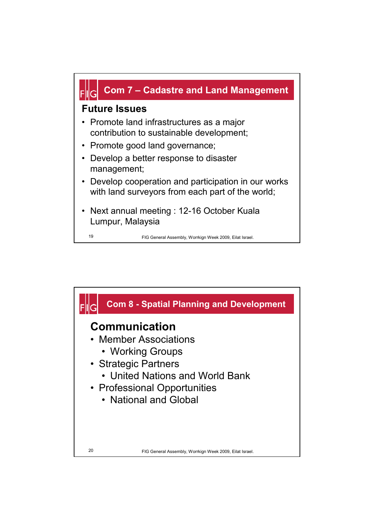

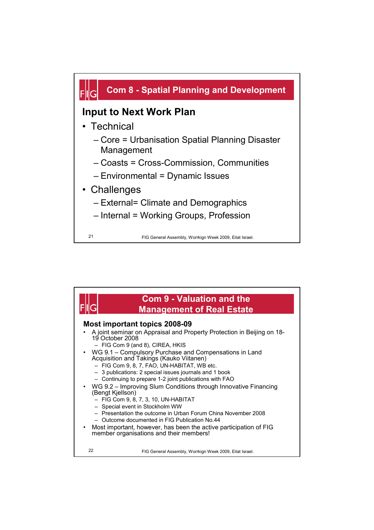

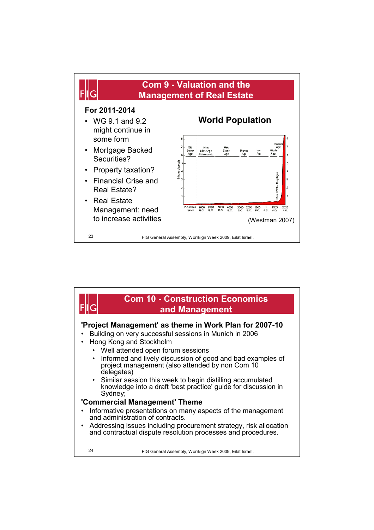

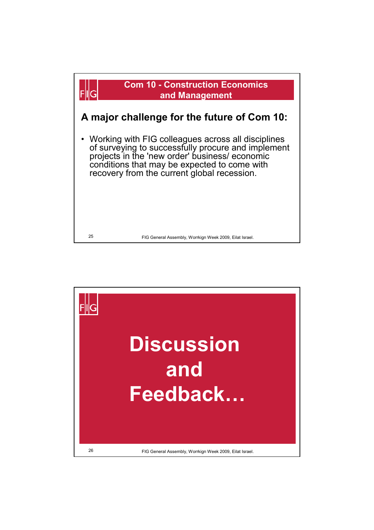